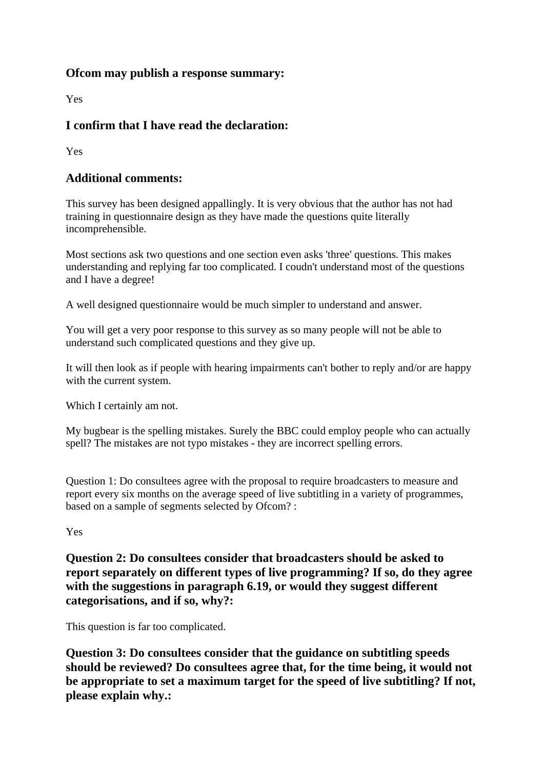## **Ofcom may publish a response summary:**

Yes

## **I confirm that I have read the declaration:**

Yes

## **Additional comments:**

This survey has been designed appallingly. It is very obvious that the author has not had training in questionnaire design as they have made the questions quite literally incomprehensible.

Most sections ask two questions and one section even asks 'three' questions. This makes understanding and replying far too complicated. I coudn't understand most of the questions and I have a degree!

A well designed questionnaire would be much simpler to understand and answer.

You will get a very poor response to this survey as so many people will not be able to understand such complicated questions and they give up.

It will then look as if people with hearing impairments can't bother to reply and/or are happy with the current system.

Which I certainly am not.

My bugbear is the spelling mistakes. Surely the BBC could employ people who can actually spell? The mistakes are not typo mistakes - they are incorrect spelling errors.

Question 1: Do consultees agree with the proposal to require broadcasters to measure and report every six months on the average speed of live subtitling in a variety of programmes, based on a sample of segments selected by Ofcom? :

Yes

**Question 2: Do consultees consider that broadcasters should be asked to report separately on different types of live programming? If so, do they agree with the suggestions in paragraph 6.19, or would they suggest different categorisations, and if so, why?:**

This question is far too complicated.

**Question 3: Do consultees consider that the guidance on subtitling speeds should be reviewed? Do consultees agree that, for the time being, it would not be appropriate to set a maximum target for the speed of live subtitling? If not, please explain why.:**